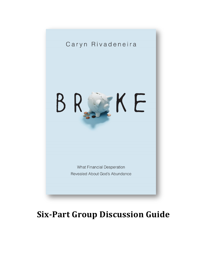

# **Six-Part Group Discussion Guide**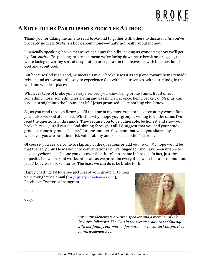# **A NOTE!TO!THE!PARTICIPANTS!FROM!THE AUTHOR:**

Thank you for taking the time to read *Broke* and to gather with others to discuss it. As you've probably noticed, *Broke* is a book about money—that's not really about money.

Financially speaking, broke means we can't pay the bills, leaving us wondering how we'll get by. But *spiritually* speaking, broke can mean we're facing down heartbreak or struggles, that we're facing down any sort of desperation or separation that leaves us with big questions for God and about God.

But because God is so good, he meets us in our broke, uses it as step one toward being remade, rebuilt, and as a wonderful way to experience God with all our senses, with our minds, in the wild and wooliest places.

Whatever type of broke you've experienced, you know being broke stinks. But it offers something more, something terrifying and dazzling all at once. Being broke can *bless* us, can lead us straight into the "abundant life" Jesus promised—like nothing else I know.

So, as you read through *Broke*, you'll read me at my most vulnerable, often at my worst. But, you'll also see God at his best. Which is why I hope your group is willing to do the same. I've read the questions in this guide. They require you to be vulnerable, be honest and show your broke bits so you all can see God shining through it all. I'd suggest that you and your study group become a "group of safety" for one another. Covenant that what you share stays wherever you are. And then risk vulnerability and keep each other's stories.

Of course, you are welcome to skip any of the questions or add your own. My hope would be that the Holy Spirit leads you into conversations you've longed for and have been unable to have anywhere else. I hope you discover that there's no shame in broken. In fact, just the opposite. It's where God works. After all, as we proclaim every time we celebrate communion, Jesus' body was broken for us. The least we can do is be broke for him.

Happy chatting! I'd love see pictures of your group or to hear your thoughts via email (caryn@carynrivadeneira.com), Facebook, Twitter or Instagram.

Peace—

Caryn



*Caryn Rivadeneira is a writer, speaker and a member of Ink Creative Collective. She lives in the western suburbs of Chicago* with her family. For more information or to contact Caryn, visit *carynrivadeneira.com.*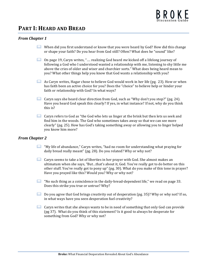# **PART I: HEARD AND BREAD**

#### *From Chapter 1*

- When did you first understand or know that you were heard by God? How did this change or shape your faith? Do you hear from God still? Often? What does he "sound" like?
- **Cone bage 19, Caryn writes, ".... realizing God heard** *me* kicked off a lifelong journey of following a God who I understood wanted a relationship with me, listening to shy little me above the cries of older and wiser and churchier sorts." What does being heard mean to you? What other things help you know that God wants a relationship with you?
- As Caryn writes, Hagar chose to believe God would work in her life (pg. 23). How or when has faith been an active choice for you? Does the "choice" to believe help or hinder your faith or relationship with God? In what ways?
- Caryn says she heard clear direction from God, such as "Why don't you stop?" (pg. 24). Have you heard God speak this clearly? If yes, in what instance? If not, why do you think this is?
- $\Box$  Caryn refers to God as "the God who lets us linger at the brink but then lets us seek and find him in the woods. The God who sometimes takes away so that we can see more clearly" (pg. 25). How has God's taking something away or allowing you to linger helped you know him more?

- $\Box$  "My life of abundance," Caryn writes, "had no room for understanding what praying for daily bread really meant" (pg. 28). Do you related? Why or why not?
- $\Box$  Caryn seems to take a lot of liberties in her prayer with God. She almost makes an ultimatum when she says, "But...that's about it, God. You've really got to do better on this other stuff. You've really got to pony up" (pg. 30). What do you make of this tone in prayer? Have you prayed like this? Would you? Why or why not?
- $\Box$  "No such thing as a coincidence in the daily-bread-dependent life," we read on page 33. Does this strike you true or untrue? Why?
- Do you agree that God brings creativity out of desperation (pg. 35)? Why or why not? If so, in what ways have you seen desperation fuel creativity?
- $\Box$  Caryn writes that she always wants to be in need of something that only God can provide (pg  $37$ ). What do you think of this statement? Is it good to always be desperate for something from God? Why or why not?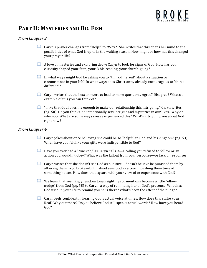# **PART II: MYSTERIES AND BIG FISH**

#### *From Chapter 3*

- Caryn's prayer changes from "Help!" to "Why?" She writes that this opens her mind to the possibilities of what God is up to in the waiting season. How might or how has this changed your prayer life?
- $\Box$  A love of mysteries and exploring drove Caryn to look for signs of God. How has your curiosity shaped your faith, your Bible reading, your church-going?
- In what ways might God be asking you to "think different" about a situation or circumstance in your life? In what ways does Christianity already encourage us to "think different"?
- **Caryn writes that the best answers to lead to more questions. Agree? Disagree? What's an** example of this you can think of?
- **If the like that God loves me enough to make our relationship this intriguing," Caryn writes** (pg. 50). Do you think God intentionally sets intrigue and mysteries in our lives? Why or why not? What are some ways you've experienced this? What's intriguing you about God right now?

- Caryn jokes about once believing she could be so "helpful to God and his kingdom" (pg. 53). When have you felt like your gifts were indispensible to God?
- $\Box$  Have you ever had a "Nineveh," as Caryn calls it—a calling you refused to follow or an action you wouldn't obey? What was the fallout from your response—or lack of response?
- Caryn writes that she doesn't see God as punitive—doesn't believe he punished them by allowing them to go broke—but instead sees God as a coach, pushing them toward something better. How does that square with your view of or experience with God?
- $\Box$  We learn that seemingly random Jonah sightings or mentions become a little "elbow" nudge" from God (pg. 58) to Caryn, a way of reminding her of God's presence. What has God used in your life to remind you he is there? What's been the effect of the nudge?
- **LA** Caryn feels confident in hearing God's actual voice at times. How does this strike you? Real? Way out there? Do you believe God still speaks actual words? How have you heard God?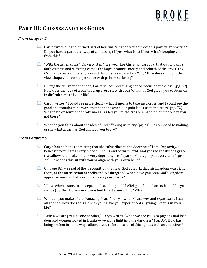# **PART III: CROSSES AND THE GOODS**

### *From Chapter 5*

- $\Box$  Caryn wrote out and burned lists of her sins. What do you think of this particular practice? Do you have a particular way of confessing? If yes, what is it? If not, what's keeping you from this?
- $\Box$  "With the ashen cross," Caryn writes, " we wear the Christian paradox: that out of pain, sin, faithlessness and suffering comes the hope, promise, mercy and rebirth of the cross" (pg. 65). Have you traditionally viewed the cross as a paradox? Why? How does or might this view shape your own experience with pain or suffering?
- During the delivery of her son, Caryn senses God telling her to "focus on the cross" (pg. 69). How does the idea of a conjured-up cross sit with you? What has God given you to focus on in difficult times of your life?
- $\Box$  Caryn writes: "I could see more clearly what it means to take up a cross, and I could see the good and transforming work that happens when our pain leads us to the cross" (pg. 72). What pain or sources of brokenness has led you to the cross? What did you find when you got there?
- What do you think about the idea of God *allowing* us to cry (pg. 74)—as opposed to making us? In what areas has God allowed you to cry?

- $\Box$  Caryn has no bones admitting that she subscribes to the doctrine of Total Depravity, a belief sin permeates every bit of our souls and of this world. And yet she speaks of a grace that allows the broken—this very depravity—to "sparkle God's glory at every turn" (pg 77). How does this sit with you or align with your own belief?
- $\Box$  On page 82, we read of the "recognition that was God at work, that his kingdom was right there, at the intersection of Wells and Washington." When have you seen God's kingdom appear in unexpectedly or unlikely ways or places?
- $\Box$  "I love when a story, a concept, an idea, a long-held belief gets flipped on its head," Caryn writes (pg. 84). Do you or do you find this disconcerting? Why?
- What do you make of the "Amazing Grace" story—when Grace *was* and *experienced* Jesus all at once. How does this sit with you? Have you experienced anything like this in your life?
- $\Box$  "When we are Jesus to one another," Caryn writes, "when we are Jesus to pigeons and lost dogs and women locked in trunks—we shine light into the darkness" (pg. 85). How has being broken in some ways allowed you to be a bearer of this light as well as a receiver?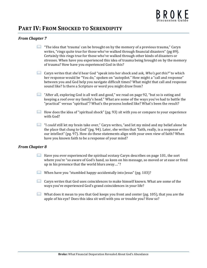# **PART IV: FROM SHOCKED TO SERENDIPITY**

### *From Chapter 7*

- $\Box$  "The idea that 'trauma' can be brought on by the memory of a previous trauma," Caryn writes, "rings quite true for those who've walked through financial disasters" (pg 89). Certainly this rings true for those who've walked through other kinds of disasters or stresses. When have you experienced this idea of trauma being brought on by the memory of trauma? How have you experienced God in this?
- **Caryn writes that she'd hear God "speak into her shock and ask,** *Who's got this?"* **to which** her response would be "You do," spoken on "autopilot." How might a "call and response" between you and God help you navigate difficult times? What might that call and response sound like? Is there a Scripture or word you might draw from?
- "After all, exploring God is all well and good," we read on page 92, "but so is eating and keeping a roof over my family's head." What are some of the ways you've had to battle the "practical" versus "spiritual"? What's the process looked like? What's been the result?
- $\Box$  How does the idea of "spiritual shock" (pg. 93) sit with you or compare to your experience with God?
- "I *could* still let my brain take over," Caryn writes, "and let my mind and my belief alone be the place that clung to God" (pg. 94). Later, she writes that "faith, really, is a response of our intellect" (pg. 97). How do these statements align with your own view of faith? When have you known faith to be a response of your mind?

- $\Box$  Have you ever experienced the spiritual ecstasy Caryn describes on page 101, the sort where you're "so aware of God's hand, so keen on his message, so moved or at ease or fired up in his presence that the world blurs away...."?
- When have you "stumbled happy-accidentally into Jesus" (pg. 103)?
- **Let Caryn writes that God uses coincidences to make himself known. What are some of the** ways you've experienced God's grand coincidences in your life?
- What does it mean to you that God keeps you front and center (pg. 105), that you are the apple of his eye? Does this idea sit well with you or trouble you? How so?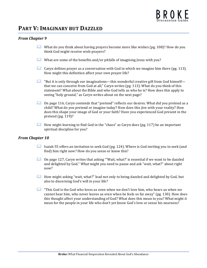# PART V: **IMAGINARY BUT DAZZLED**

### *From Chapter 9*

- What do you think about having prayers become more like wishes (pg. 108)? How do you think God might receive wish-prayers?
- What are some of the benefits and/or pitfalls of imagining Jesus with you?
- Caryn defines prayer as a conversation with God in which we imagine him there (pg. 113). How might this definition affect your own prayer life?
- $\Box$  "But it is only through our imaginations—this wonderful creative gift from God himself that we can conceive from God at all," Caryn writes (pg. 113). What do you think of this statement? What about the Bible and who God tells us who he is? How does this apply to seeing "holy ground," as Caryn writes about on the next page?
- $\Box$  On page 116, Caryn contends that "pretend" reflects our desires. What did you pretend as a child? What do you pretend or imagine today? How does this jive with your reality? How does this shape your image of God or your faith? Have you experienced God present in the pretend (pg. 119)?
- $\Box$  How might learning to find God in the "chaos" as Caryn does (pg. 117) be an important spiritual discipline for you?

- **Isaiah 55 offers an invitation to seek God (pg. 124). Where is God inviting you to seek (and** find) him right now? How do you sense or know this?
- **Comediage 127, Caryn writes that asking "'Wait, what?' is essential if we want to be dazzled** and delighted by God." What might you need to pause and ask "wait, what?" about right now?
- How might asking "wait, what?" lead not only to being dazzled and delighted by God, but also to discerning God's will in your life?
- $\Box$  "This God is the God who loves us even when we don't love him, who hears us when we cannot hear him, who never leaves us even when he feels so far away" (pg. 130). How does this thought affect your understanding of God? What does this mean to you? What might it mean for the people in your life who don't yet know God's love or sense his nearness?